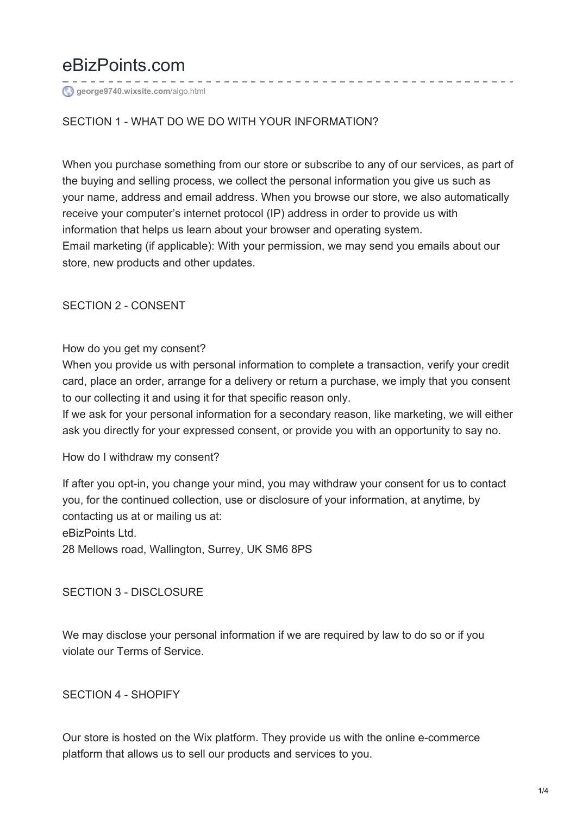# eBizPoints.com

**[george9740.wixsite.com](https://george9740.wixsite.com/ebizpointsltd/privacy)**/algo.html

# SECTION 1 - WHAT DO WE DO WITH YOUR INFORMATION?

When you purchase something from our store or subscribe to any of our services, as part of the buying and selling process, we collect the personal information you give us such as your name, address and email address. When you browse our store, we also automatically receive your computer's internet protocol (IP) address in order to provide us with information that helps us learn about your browser and operating system. Email marketing (if applicable): With your permission, we may send you emails about our store, new products and other updates.

SECTION 2 - CONSENT

### How do you get my consent?

When you provide us with personal information to complete a transaction, verify your credit card, place an order, arrange for a delivery or return a purchase, we imply that you consent to our collecting it and using it for that specific reason only.

If we ask for your personal information for a secondary reason, like marketing, we will either ask you directly for your expressed consent, or provide you with an opportunity to say no.

How do I withdraw my consent?

If after you opt-in, you change your mind, you may withdraw your consent for us to contact you, for the continued collection, use or disclosure of your information, at anytime, by contacting us at or mailing us at: eBizPoints Ltd. 28 Mellows road, Wallington, Surrey, UK SM6 8PS

### SECTION 3 - DISCLOSURE

We may disclose your personal information if we are required by law to do so or if you violate our Terms of Service.

### SECTION 4 - SHOPIFY

Our store is hosted on the Wix platform. They provide us with the online e-commerce platform that allows us to sell our products and services to you.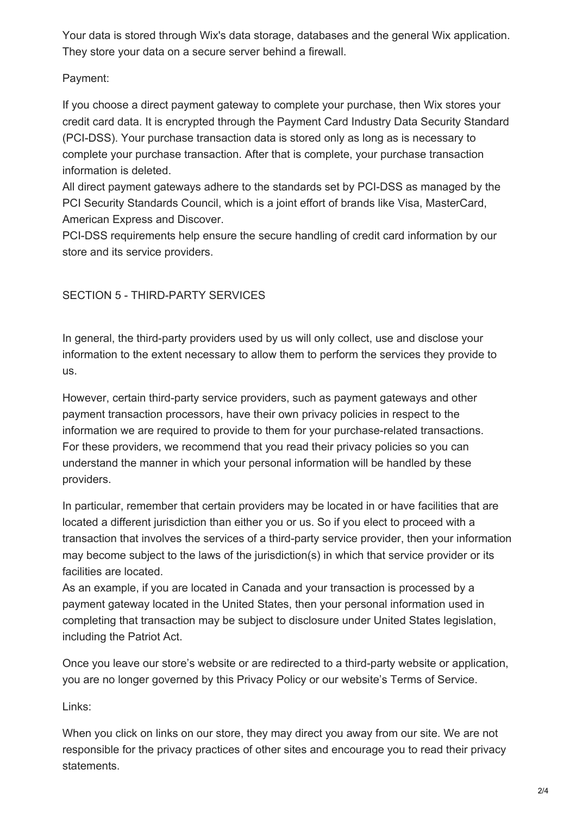Your data is stored through Wix's data storage, databases and the general Wix application. They store your data on a secure server behind a firewall.

# Payment:

If you choose a direct payment gateway to complete your purchase, then Wix stores your credit card data. It is encrypted through the Payment Card Industry Data Security Standard (PCI-DSS). Your purchase transaction data is stored only as long as is necessary to complete your purchase transaction. After that is complete, your purchase transaction information is deleted.

All direct payment gateways adhere to the standards set by PCI-DSS as managed by the PCI Security Standards Council, which is a joint effort of brands like Visa, MasterCard, American Express and Discover.

PCI-DSS requirements help ensure the secure handling of credit card information by our store and its service providers.

# SECTION 5 - THIRD-PARTY SERVICES

In general, the third-party providers used by us will only collect, use and disclose your information to the extent necessary to allow them to perform the services they provide to us.

However, certain third-party service providers, such as payment gateways and other payment transaction processors, have their own privacy policies in respect to the information we are required to provide to them for your purchase-related transactions. For these providers, we recommend that you read their privacy policies so you can understand the manner in which your personal information will be handled by these providers.

In particular, remember that certain providers may be located in or have facilities that are located a different jurisdiction than either you or us. So if you elect to proceed with a transaction that involves the services of a third-party service provider, then your information may become subject to the laws of the jurisdiction(s) in which that service provider or its facilities are located.

As an example, if you are located in Canada and your transaction is processed by a payment gateway located in the United States, then your personal information used in completing that transaction may be subject to disclosure under United States legislation, including the Patriot Act.

Once you leave our store's website or are redirected to a third-party website or application, you are no longer governed by this Privacy Policy or our website's Terms of Service.

# Links:

When you click on links on our store, they may direct you away from our site. We are not responsible for the privacy practices of other sites and encourage you to read their privacy statements.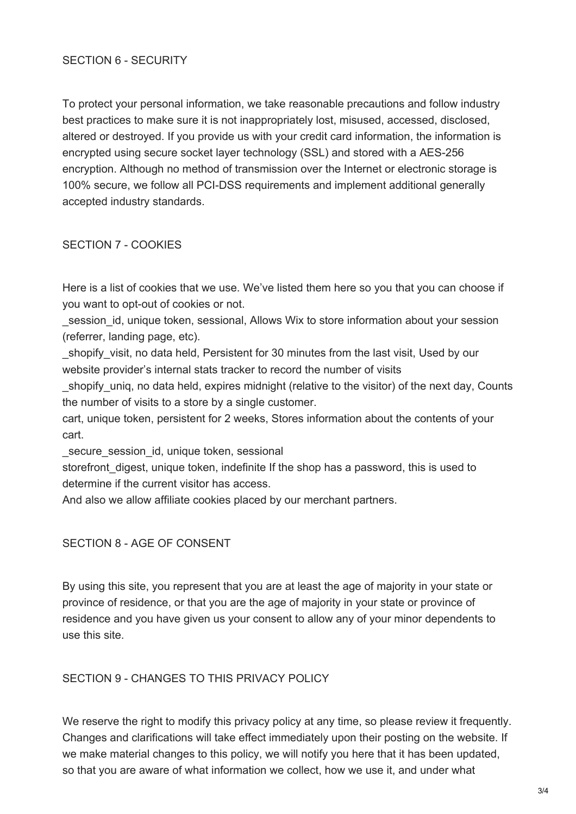### SECTION 6 - SECURITY

To protect your personal information, we take reasonable precautions and follow industry best practices to make sure it is not inappropriately lost, misused, accessed, disclosed, altered or destroyed. If you provide us with your credit card information, the information is encrypted using secure socket layer technology (SSL) and stored with a AES-256 encryption. Although no method of transmission over the Internet or electronic storage is 100% secure, we follow all PCI-DSS requirements and implement additional generally accepted industry standards.

#### SECTION 7 - COOKIES

Here is a list of cookies that we use. We've listed them here so you that you can choose if you want to opt-out of cookies or not.

session id, unique token, sessional, Allows Wix to store information about your session (referrer, landing page, etc).

shopify visit, no data held, Persistent for 30 minutes from the last visit, Used by our website provider's internal stats tracker to record the number of visits

shopify unig, no data held, expires midnight (relative to the visitor) of the next day, Counts the number of visits to a store by a single customer.

cart, unique token, persistent for 2 weeks, Stores information about the contents of your cart.

secure session id, unique token, sessional

storefront digest, unique token, indefinite If the shop has a password, this is used to determine if the current visitor has access.

And also we allow affiliate cookies placed by our merchant partners.

### SECTION 8 - AGE OF CONSENT

By using this site, you represent that you are at least the age of majority in your state or province of residence, or that you are the age of majority in your state or province of residence and you have given us your consent to allow any of your minor dependents to use this site.

### SECTION 9 - CHANGES TO THIS PRIVACY POLICY

We reserve the right to modify this privacy policy at any time, so please review it frequently. Changes and clarifications will take effect immediately upon their posting on the website. If we make material changes to this policy, we will notify you here that it has been updated, so that you are aware of what information we collect, how we use it, and under what